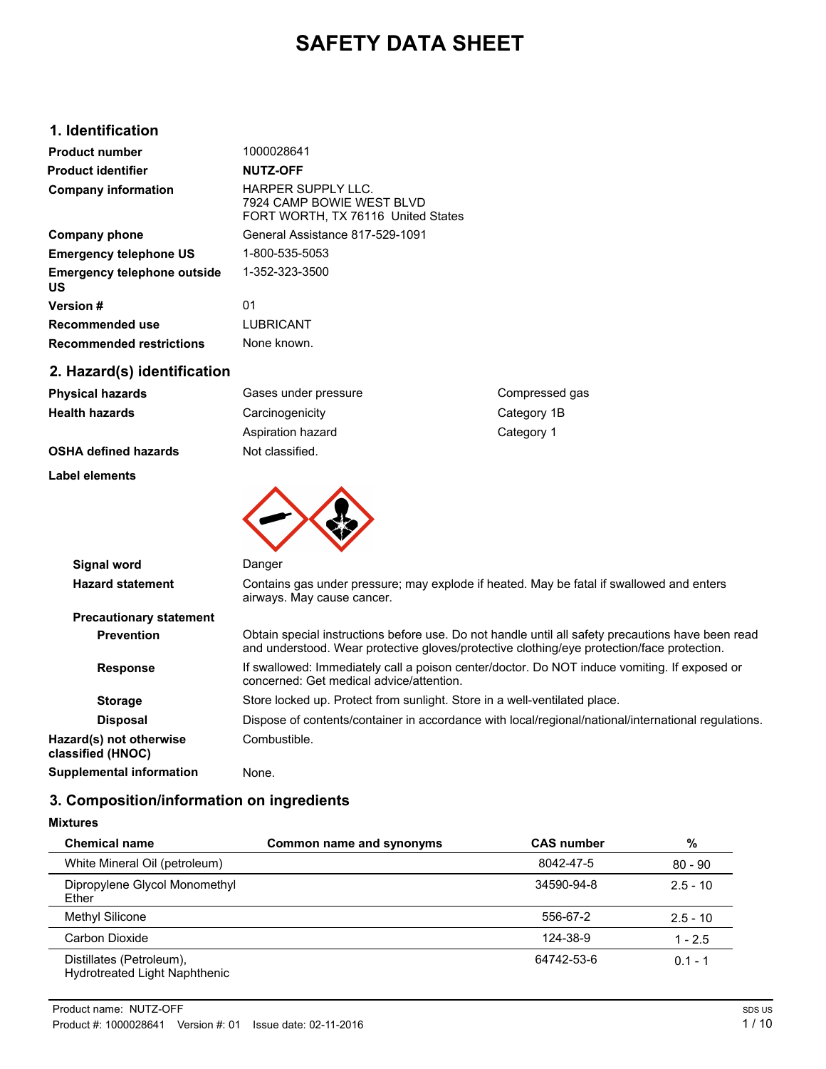# **SAFETY DATA SHEET**

# **1. Identification**

| <b>Product number</b>                    | 1000028641                                                                                   |
|------------------------------------------|----------------------------------------------------------------------------------------------|
| <b>Product identifier</b>                | <b>NUTZ-OFF</b>                                                                              |
| <b>Company information</b>               | <b>HARPER SUPPLY LLC.</b><br>7924 CAMP BOWIF WEST BLVD<br>FORT WORTH, TX 76116 United States |
| Company phone                            | General Assistance 817-529-1091                                                              |
| <b>Emergency telephone US</b>            | 1-800-535-5053                                                                               |
| <b>Emergency telephone outside</b><br>US | 1-352-323-3500                                                                               |
| <b>Version#</b>                          | 01                                                                                           |
| Recommended use                          | <b>LUBRICANT</b>                                                                             |
| <b>Recommended restrictions</b>          | None known.                                                                                  |
| 2. Hazard(s) identification              |                                                                                              |

| <b>Physical hazards</b>        | Gases under pressure                     | Compressed gas                                                                                                                                                                                  |
|--------------------------------|------------------------------------------|-------------------------------------------------------------------------------------------------------------------------------------------------------------------------------------------------|
| <b>Health hazards</b>          | Carcinogenicity                          | Category 1B                                                                                                                                                                                     |
|                                | Aspiration hazard                        | Category 1                                                                                                                                                                                      |
| <b>OSHA defined hazards</b>    | Not classified.                          |                                                                                                                                                                                                 |
| <b>Label elements</b>          |                                          |                                                                                                                                                                                                 |
|                                |                                          |                                                                                                                                                                                                 |
|                                |                                          |                                                                                                                                                                                                 |
| Signal word                    | Danger                                   |                                                                                                                                                                                                 |
| <b>Hazard statement</b>        | airways. May cause cancer.               | Contains gas under pressure; may explode if heated. May be fatal if swallowed and enters                                                                                                        |
| <b>Precautionary statement</b> |                                          |                                                                                                                                                                                                 |
| <b>Prevention</b>              |                                          | Obtain special instructions before use. Do not handle until all safety precautions have been read<br>and understood. Wear protective gloves/protective clothing/eye protection/face protection. |
| <b>Response</b>                | concerned: Get medical advice/attention. | If swallowed: Immediately call a poison center/doctor. Do NOT induce vomiting. If exposed or                                                                                                    |
| <b>Storage</b>                 |                                          | Store locked up. Protect from sunlight. Store in a well-ventilated place.                                                                                                                       |
|                                |                                          |                                                                                                                                                                                                 |

Disposal Dispose of contents/container in accordance with local/regional/national/international regulations. **Hazard(s) not otherwise classified (HNOC)** Combustible.

# **Supplemental information** None.

# **3. Composition/information on ingredients**

### **Mixtures**

| <b>Chemical name</b>                                      | Common name and synonyms | <b>CAS number</b> | %          |
|-----------------------------------------------------------|--------------------------|-------------------|------------|
| White Mineral Oil (petroleum)                             |                          | 8042-47-5         | $80 - 90$  |
| Dipropylene Glycol Monomethyl<br>Ether                    |                          | 34590-94-8        | $2.5 - 10$ |
| Methyl Silicone                                           |                          | 556-67-2          | $2.5 - 10$ |
| Carbon Dioxide                                            |                          | 124-38-9          | $1 - 2.5$  |
| Distillates (Petroleum),<br>Hydrotreated Light Naphthenic |                          | 64742-53-6        | $0.1 - 1$  |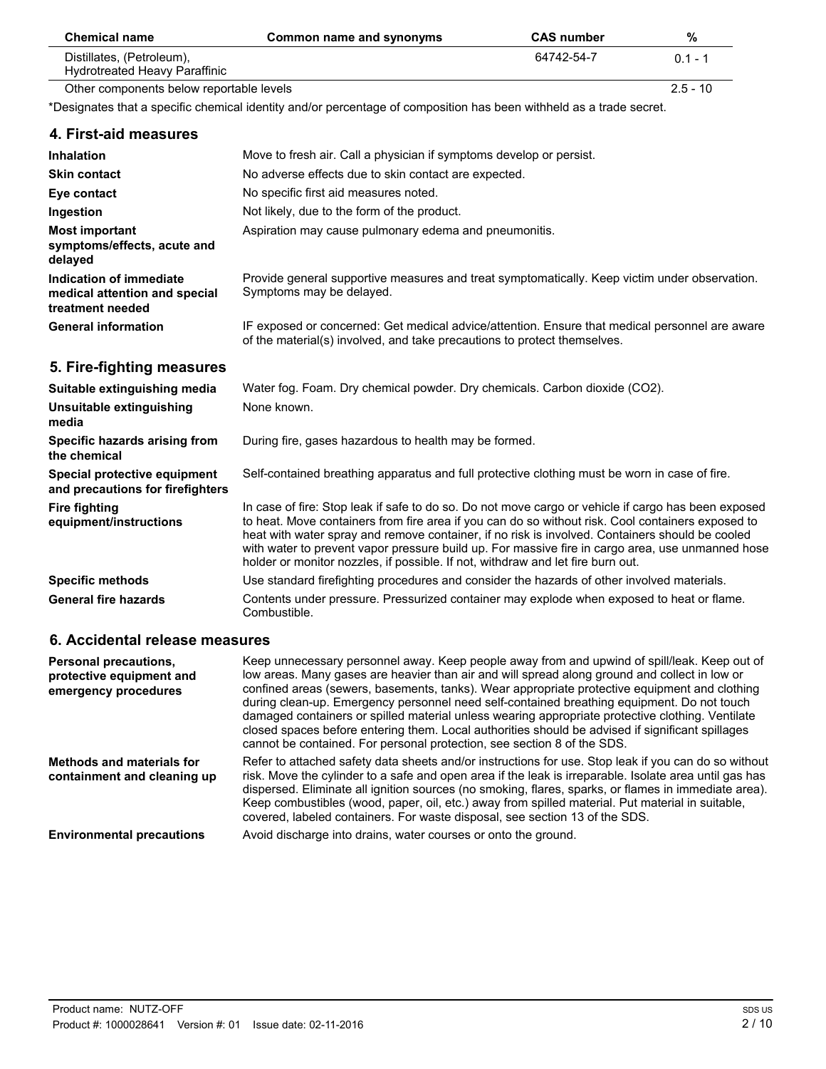| <b>Chemical name</b>                                       | Common name and synonyms | <b>CAS number</b> | %          |
|------------------------------------------------------------|--------------------------|-------------------|------------|
| Distillates, (Petroleum),<br>Hydrotreated Heavy Paraffinic |                          | 64742-54-7        | $01 - 1$   |
| Other components below reportable levels                   |                          |                   | $2.5 - 10$ |

\*Designates that a specific chemical identity and/or percentage of composition has been withheld as a trade secret.

#### **4. First-aid measures**

| <b>Inhalation</b>                                                            | Move to fresh air. Call a physician if symptoms develop or persist.                                                                                                                                                                                                                                                                                                                                                                                                                                |
|------------------------------------------------------------------------------|----------------------------------------------------------------------------------------------------------------------------------------------------------------------------------------------------------------------------------------------------------------------------------------------------------------------------------------------------------------------------------------------------------------------------------------------------------------------------------------------------|
| <b>Skin contact</b>                                                          | No adverse effects due to skin contact are expected.                                                                                                                                                                                                                                                                                                                                                                                                                                               |
| Eye contact                                                                  | No specific first aid measures noted.                                                                                                                                                                                                                                                                                                                                                                                                                                                              |
| Ingestion                                                                    | Not likely, due to the form of the product.                                                                                                                                                                                                                                                                                                                                                                                                                                                        |
| <b>Most important</b><br>symptoms/effects, acute and<br>delayed              | Aspiration may cause pulmonary edema and pneumonitis.                                                                                                                                                                                                                                                                                                                                                                                                                                              |
| Indication of immediate<br>medical attention and special<br>treatment needed | Provide general supportive measures and treat symptomatically. Keep victim under observation.<br>Symptoms may be delayed.                                                                                                                                                                                                                                                                                                                                                                          |
| <b>General information</b>                                                   | IF exposed or concerned: Get medical advice/attention. Ensure that medical personnel are aware<br>of the material(s) involved, and take precautions to protect themselves.                                                                                                                                                                                                                                                                                                                         |
| 5. Fire-fighting measures                                                    |                                                                                                                                                                                                                                                                                                                                                                                                                                                                                                    |
| Suitable extinguishing media                                                 | Water fog. Foam. Dry chemical powder. Dry chemicals. Carbon dioxide (CO2).                                                                                                                                                                                                                                                                                                                                                                                                                         |
| Unsuitable extinguishing<br>media                                            | None known.                                                                                                                                                                                                                                                                                                                                                                                                                                                                                        |
| Specific hazards arising from<br>the chemical                                | During fire, gases hazardous to health may be formed.                                                                                                                                                                                                                                                                                                                                                                                                                                              |
| Special protective equipment<br>and precautions for firefighters             | Self-contained breathing apparatus and full protective clothing must be worn in case of fire.                                                                                                                                                                                                                                                                                                                                                                                                      |
| <b>Fire fighting</b><br>equipment/instructions                               | In case of fire: Stop leak if safe to do so. Do not move cargo or vehicle if cargo has been exposed<br>to heat. Move containers from fire area if you can do so without risk. Cool containers exposed to<br>heat with water spray and remove container, if no risk is involved. Containers should be cooled<br>with water to prevent vapor pressure build up. For massive fire in cargo area, use unmanned hose<br>holder or monitor nozzles, if possible. If not, withdraw and let fire burn out. |
| <b>Specific methods</b>                                                      | Use standard firefighting procedures and consider the hazards of other involved materials.                                                                                                                                                                                                                                                                                                                                                                                                         |
| <b>General fire hazards</b>                                                  | Contents under pressure. Pressurized container may explode when exposed to heat or flame.<br>Combustible.                                                                                                                                                                                                                                                                                                                                                                                          |

## **6. Accidental release measures**

| <b>Personal precautions,</b><br>protective equipment and<br>emergency procedures | Keep unnecessary personnel away. Keep people away from and upwind of spill/leak. Keep out of<br>low areas. Many gases are heavier than air and will spread along ground and collect in low or<br>confined areas (sewers, basements, tanks). Wear appropriate protective equipment and clothing<br>during clean-up. Emergency personnel need self-contained breathing equipment. Do not touch<br>damaged containers or spilled material unless wearing appropriate protective clothing. Ventilate<br>closed spaces before entering them. Local authorities should be advised if significant spillages<br>cannot be contained. For personal protection, see section 8 of the SDS. |
|----------------------------------------------------------------------------------|---------------------------------------------------------------------------------------------------------------------------------------------------------------------------------------------------------------------------------------------------------------------------------------------------------------------------------------------------------------------------------------------------------------------------------------------------------------------------------------------------------------------------------------------------------------------------------------------------------------------------------------------------------------------------------|
| <b>Methods and materials for</b><br>containment and cleaning up                  | Refer to attached safety data sheets and/or instructions for use. Stop leak if you can do so without<br>risk. Move the cylinder to a safe and open area if the leak is irreparable. Isolate area until gas has<br>dispersed. Eliminate all ignition sources (no smoking, flares, sparks, or flames in immediate area).<br>Keep combustibles (wood, paper, oil, etc.) away from spilled material. Put material in suitable,<br>covered, labeled containers. For waste disposal, see section 13 of the SDS.                                                                                                                                                                       |
| <b>Environmental precautions</b>                                                 | Avoid discharge into drains, water courses or onto the ground.                                                                                                                                                                                                                                                                                                                                                                                                                                                                                                                                                                                                                  |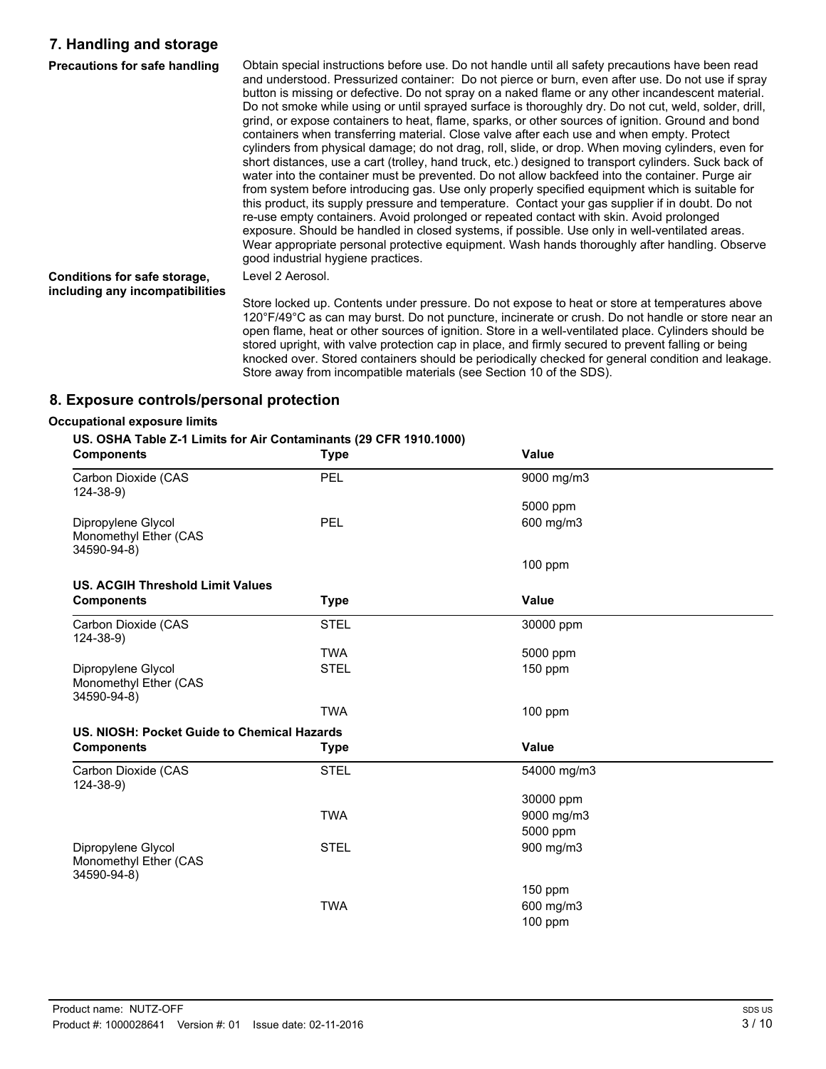# **7. Handling and storage**

| <b>Precautions for safe handling</b>                            | Obtain special instructions before use. Do not handle until all safety precautions have been read<br>and understood. Pressurized container: Do not pierce or burn, even after use. Do not use if spray<br>button is missing or defective. Do not spray on a naked flame or any other incandescent material.<br>Do not smoke while using or until sprayed surface is thoroughly dry. Do not cut, weld, solder, drill,<br>grind, or expose containers to heat, flame, sparks, or other sources of ignition. Ground and bond<br>containers when transferring material. Close valve after each use and when empty. Protect<br>cylinders from physical damage; do not drag, roll, slide, or drop. When moving cylinders, even for<br>short distances, use a cart (trolley, hand truck, etc.) designed to transport cylinders. Suck back of<br>water into the container must be prevented. Do not allow backfeed into the container. Purge air<br>from system before introducing gas. Use only properly specified equipment which is suitable for<br>this product, its supply pressure and temperature. Contact your gas supplier if in doubt. Do not<br>re-use empty containers. Avoid prolonged or repeated contact with skin. Avoid prolonged<br>exposure. Should be handled in closed systems, if possible. Use only in well-ventilated areas.<br>Wear appropriate personal protective equipment. Wash hands thoroughly after handling. Observe<br>good industrial hygiene practices. |
|-----------------------------------------------------------------|-------------------------------------------------------------------------------------------------------------------------------------------------------------------------------------------------------------------------------------------------------------------------------------------------------------------------------------------------------------------------------------------------------------------------------------------------------------------------------------------------------------------------------------------------------------------------------------------------------------------------------------------------------------------------------------------------------------------------------------------------------------------------------------------------------------------------------------------------------------------------------------------------------------------------------------------------------------------------------------------------------------------------------------------------------------------------------------------------------------------------------------------------------------------------------------------------------------------------------------------------------------------------------------------------------------------------------------------------------------------------------------------------------------------------------------------------------------------------------------|
| Conditions for safe storage,<br>including any incompatibilities | Level 2 Aerosol.                                                                                                                                                                                                                                                                                                                                                                                                                                                                                                                                                                                                                                                                                                                                                                                                                                                                                                                                                                                                                                                                                                                                                                                                                                                                                                                                                                                                                                                                    |
|                                                                 | Store locked up. Contents under pressure. Do not expose to heat or store at temperatures above<br>120°F/49°C as can may burst. Do not puncture, incinerate or crush. Do not handle or store near an                                                                                                                                                                                                                                                                                                                                                                                                                                                                                                                                                                                                                                                                                                                                                                                                                                                                                                                                                                                                                                                                                                                                                                                                                                                                                 |

open flame, heat or other sources of ignition. Store in a well-ventilated place. Cylinders should be stored upright, with valve protection cap in place, and firmly secured to prevent falling or being knocked over. Stored containers should be periodically checked for general condition and leakage. Store away from incompatible materials (see Section 10 of the SDS).

#### **8. Exposure controls/personal protection**

#### **Occupational exposure limits**

#### **US. OSHA Table Z-1 Limits for Air Contaminants (29 CFR 1910.1000)**

| <b>Components</b>                                          | <b>Type</b> | Value        |  |
|------------------------------------------------------------|-------------|--------------|--|
| Carbon Dioxide (CAS<br>$124 - 38 - 9$                      | PEL         | 9000 mg/m3   |  |
|                                                            |             | 5000 ppm     |  |
| Dipropylene Glycol<br>Monomethyl Ether (CAS                | PEL         | 600 mg/m3    |  |
| 34590-94-8)                                                |             |              |  |
|                                                            |             | $100$ ppm    |  |
| <b>US. ACGIH Threshold Limit Values</b>                    |             |              |  |
| <b>Components</b>                                          | <b>Type</b> | <b>Value</b> |  |
| Carbon Dioxide (CAS<br>$124 - 38 - 9$                      | <b>STEL</b> | 30000 ppm    |  |
|                                                            | <b>TWA</b>  | 5000 ppm     |  |
| Dipropylene Glycol<br>Monomethyl Ether (CAS<br>34590-94-8) | <b>STEL</b> | $150$ ppm    |  |
|                                                            | <b>TWA</b>  | $100$ ppm    |  |
| US. NIOSH: Pocket Guide to Chemical Hazards                |             |              |  |
| <b>Components</b>                                          | <b>Type</b> | <b>Value</b> |  |
| Carbon Dioxide (CAS<br>$124 - 38 - 9$                      | <b>STEL</b> | 54000 mg/m3  |  |
|                                                            |             | 30000 ppm    |  |
|                                                            | <b>TWA</b>  | 9000 mg/m3   |  |
|                                                            |             | 5000 ppm     |  |
| Dipropylene Glycol<br>Monomethyl Ether (CAS<br>34590-94-8) | <b>STEL</b> | 900 mg/m3    |  |
|                                                            |             | $150$ ppm    |  |
|                                                            | <b>TWA</b>  | 600 mg/m3    |  |
|                                                            |             | 100 ppm      |  |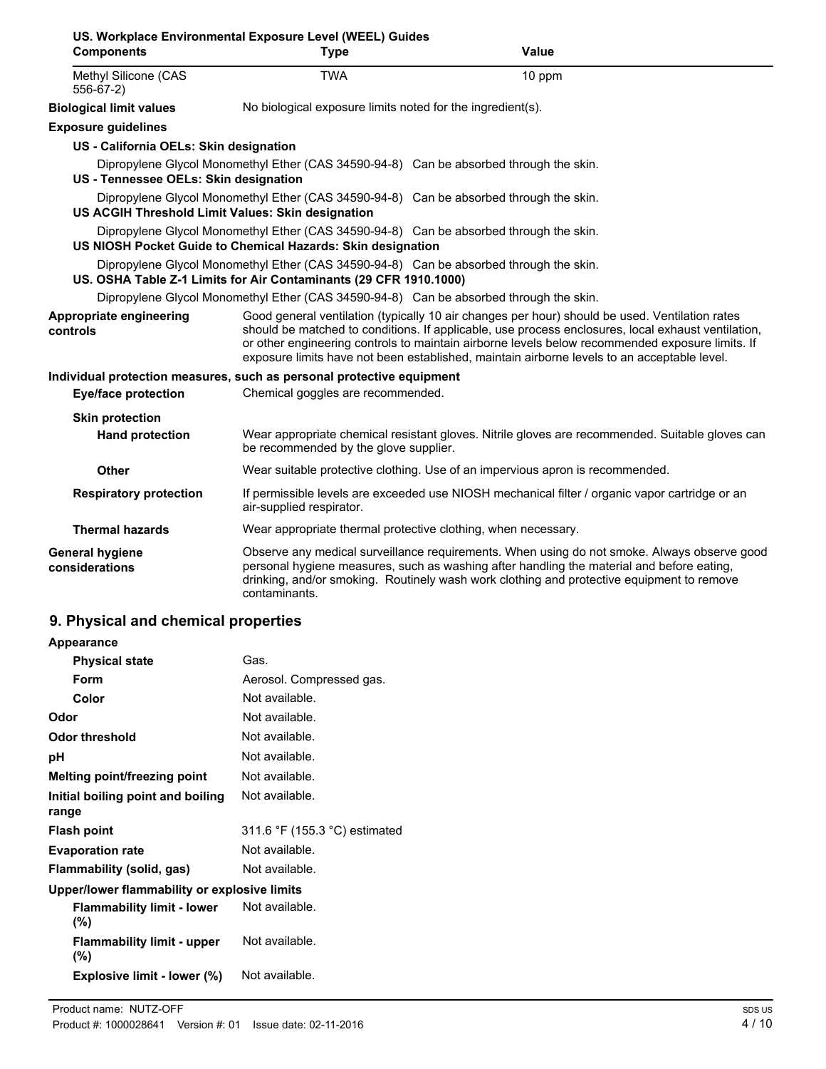| <b>Components</b>                                                     | <b>Type</b>                                                       | Value                                                                                                                                                                                                                                                                                                                                                                                                  |
|-----------------------------------------------------------------------|-------------------------------------------------------------------|--------------------------------------------------------------------------------------------------------------------------------------------------------------------------------------------------------------------------------------------------------------------------------------------------------------------------------------------------------------------------------------------------------|
| Methyl Silicone (CAS<br>556-67-2)                                     | <b>TWA</b>                                                        | 10 ppm                                                                                                                                                                                                                                                                                                                                                                                                 |
| <b>Biological limit values</b>                                        | No biological exposure limits noted for the ingredient(s).        |                                                                                                                                                                                                                                                                                                                                                                                                        |
| <b>Exposure guidelines</b>                                            |                                                                   |                                                                                                                                                                                                                                                                                                                                                                                                        |
| US - California OELs: Skin designation                                |                                                                   |                                                                                                                                                                                                                                                                                                                                                                                                        |
| US - Tennessee OELs: Skin designation                                 |                                                                   | Dipropylene Glycol Monomethyl Ether (CAS 34590-94-8) Can be absorbed through the skin.                                                                                                                                                                                                                                                                                                                 |
| US ACGIH Threshold Limit Values: Skin designation                     |                                                                   | Dipropylene Glycol Monomethyl Ether (CAS 34590-94-8) Can be absorbed through the skin.                                                                                                                                                                                                                                                                                                                 |
|                                                                       | US NIOSH Pocket Guide to Chemical Hazards: Skin designation       | Dipropylene Glycol Monomethyl Ether (CAS 34590-94-8) Can be absorbed through the skin.                                                                                                                                                                                                                                                                                                                 |
|                                                                       | US. OSHA Table Z-1 Limits for Air Contaminants (29 CFR 1910.1000) | Dipropylene Glycol Monomethyl Ether (CAS 34590-94-8) Can be absorbed through the skin.                                                                                                                                                                                                                                                                                                                 |
|                                                                       |                                                                   | Dipropylene Glycol Monomethyl Ether (CAS 34590-94-8) Can be absorbed through the skin.                                                                                                                                                                                                                                                                                                                 |
| <b>Appropriate engineering</b><br>controls                            |                                                                   | Good general ventilation (typically 10 air changes per hour) should be used. Ventilation rates<br>should be matched to conditions. If applicable, use process enclosures, local exhaust ventilation,<br>or other engineering controls to maintain airborne levels below recommended exposure limits. If<br>exposure limits have not been established, maintain airborne levels to an acceptable level. |
| Individual protection measures, such as personal protective equipment |                                                                   |                                                                                                                                                                                                                                                                                                                                                                                                        |
| Eye/face protection                                                   | Chemical goggles are recommended.                                 |                                                                                                                                                                                                                                                                                                                                                                                                        |
| <b>Skin protection</b>                                                |                                                                   |                                                                                                                                                                                                                                                                                                                                                                                                        |
| <b>Hand protection</b>                                                | be recommended by the glove supplier.                             | Wear appropriate chemical resistant gloves. Nitrile gloves are recommended. Suitable gloves can                                                                                                                                                                                                                                                                                                        |
| <b>Other</b>                                                          |                                                                   | Wear suitable protective clothing. Use of an impervious apron is recommended.                                                                                                                                                                                                                                                                                                                          |
| <b>Respiratory protection</b>                                         | air-supplied respirator.                                          | If permissible levels are exceeded use NIOSH mechanical filter / organic vapor cartridge or an                                                                                                                                                                                                                                                                                                         |
| <b>Thermal hazards</b>                                                |                                                                   | Wear appropriate thermal protective clothing, when necessary.                                                                                                                                                                                                                                                                                                                                          |
| <b>General hygiene</b><br>considerations                              |                                                                   | Observe any medical surveillance requirements. When using do not smoke. Always observe good<br>personal hygiene measures, such as washing after handling the material and before eating,<br>drinking, and/or smoking. Routinely wash work clothing and protective equipment to remove                                                                                                                  |

| Appearance                                   |                               |
|----------------------------------------------|-------------------------------|
| <b>Physical state</b>                        | Gas.                          |
| Form                                         | Aerosol. Compressed gas.      |
| Color                                        | Not available.                |
| Odor                                         | Not available.                |
| Odor threshold                               | Not available.                |
| рH                                           | Not available.                |
| Melting point/freezing point                 | Not available.                |
| Initial boiling point and boiling<br>range   | Not available.                |
| <b>Flash point</b>                           | 311.6 °F (155.3 °C) estimated |
| <b>Evaporation rate</b>                      | Not available.                |
| Flammability (solid, gas)                    | Not available.                |
| Upper/lower flammability or explosive limits |                               |
| <b>Flammability limit - lower</b><br>(%)     | Not available.                |
| <b>Flammability limit - upper</b><br>$(\%)$  | Not available.                |
| <b>Explosive limit - lower (%)</b>           | Not available.                |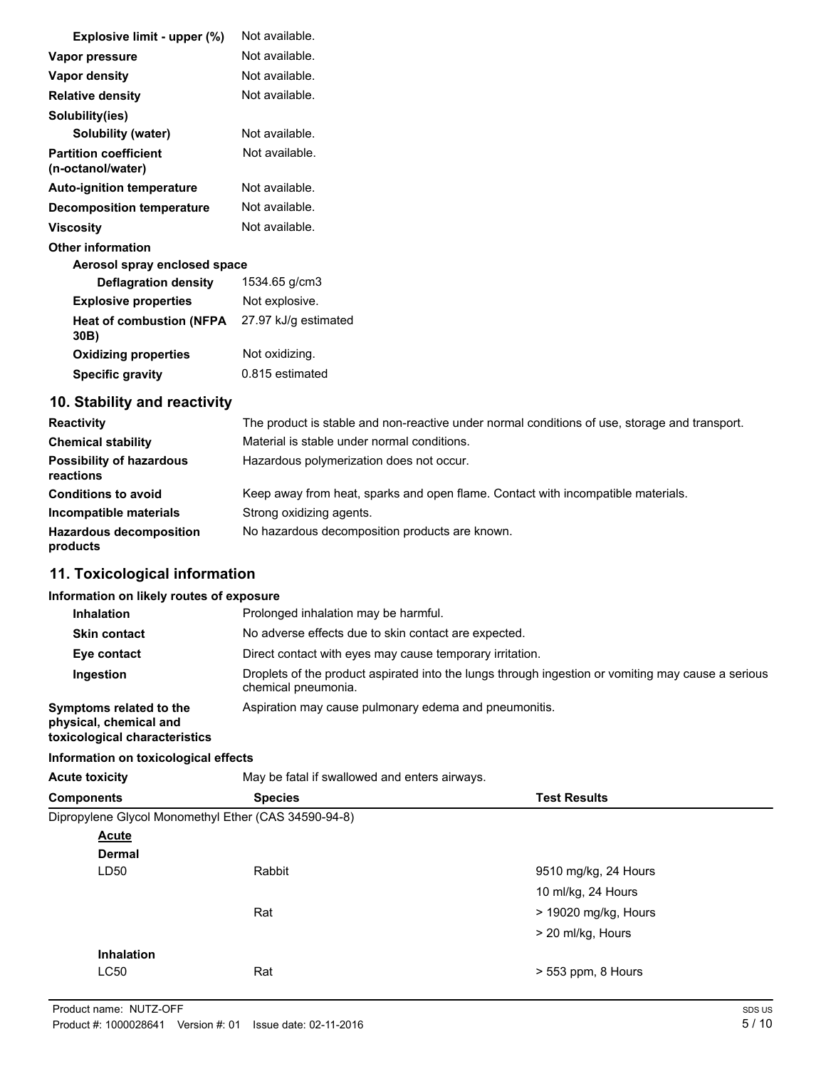| Explosive limit - upper (%)                       | Not available.                                                                               |
|---------------------------------------------------|----------------------------------------------------------------------------------------------|
| Vapor pressure                                    | Not available.                                                                               |
| Vapor density                                     | Not available.                                                                               |
| <b>Relative density</b>                           | Not available.                                                                               |
| Solubility(ies)                                   |                                                                                              |
| Solubility (water)                                | Not available.                                                                               |
| <b>Partition coefficient</b><br>(n-octanol/water) | Not available.                                                                               |
| <b>Auto-ignition temperature</b>                  | Not available.                                                                               |
| <b>Decomposition temperature</b>                  | Not available.                                                                               |
| <b>Viscosity</b>                                  | Not available.                                                                               |
| <b>Other information</b>                          |                                                                                              |
| Aerosol spray enclosed space                      |                                                                                              |
| <b>Deflagration density</b>                       | 1534.65 g/cm3                                                                                |
| <b>Explosive properties</b>                       | Not explosive.                                                                               |
| <b>Heat of combustion (NFPA</b><br>30B)           | 27.97 kJ/g estimated                                                                         |
| <b>Oxidizing properties</b>                       | Not oxidizing.                                                                               |
| <b>Specific gravity</b>                           | 0.815 estimated                                                                              |
| 10. Stability and reactivity                      |                                                                                              |
| $D$ ooothiithi                                    | The product is stable and nep reactive under permal conditions of use, sterage and transport |

| <b>Reactivity</b>                            | The product is stable and non-reactive under normal conditions of use, storage and transport. |
|----------------------------------------------|-----------------------------------------------------------------------------------------------|
| <b>Chemical stability</b>                    | Material is stable under normal conditions.                                                   |
| <b>Possibility of hazardous</b><br>reactions | Hazardous polymerization does not occur.                                                      |
| <b>Conditions to avoid</b>                   | Keep away from heat, sparks and open flame. Contact with incompatible materials.              |
| Incompatible materials                       | Strong oxidizing agents.                                                                      |
| <b>Hazardous decomposition</b><br>products   | No hazardous decomposition products are known.                                                |

# **11. Toxicological information**

## **Information on likely routes of exposure**

| <b>Inhalation</b>                                                                  | Prolonged inhalation may be harmful.                                                                                      |  |
|------------------------------------------------------------------------------------|---------------------------------------------------------------------------------------------------------------------------|--|
| <b>Skin contact</b>                                                                | No adverse effects due to skin contact are expected.                                                                      |  |
| Eye contact                                                                        | Direct contact with eyes may cause temporary irritation.                                                                  |  |
| Ingestion                                                                          | Droplets of the product aspirated into the lungs through ingestion or vomiting may cause a serious<br>chemical pneumonia. |  |
| Symptoms related to the<br>physical, chemical and<br>toxicological characteristics | Aspiration may cause pulmonary edema and pneumonitis.                                                                     |  |

## **Information on toxicological effects**

| <b>Acute toxicity</b> | May be fatal if swallowed and enters airways.        |                      |  |  |
|-----------------------|------------------------------------------------------|----------------------|--|--|
| <b>Components</b>     | <b>Species</b><br><b>Test Results</b>                |                      |  |  |
|                       | Dipropylene Glycol Monomethyl Ether (CAS 34590-94-8) |                      |  |  |
| <b>Acute</b>          |                                                      |                      |  |  |
| <b>Dermal</b>         |                                                      |                      |  |  |
| LD50                  | Rabbit                                               | 9510 mg/kg, 24 Hours |  |  |
|                       |                                                      | 10 ml/kg, 24 Hours   |  |  |
|                       | Rat                                                  | > 19020 mg/kg, Hours |  |  |
|                       |                                                      | > 20 ml/kg, Hours    |  |  |
| Inhalation            |                                                      |                      |  |  |
| LC50                  | Rat                                                  | > 553 ppm, 8 Hours   |  |  |
|                       |                                                      |                      |  |  |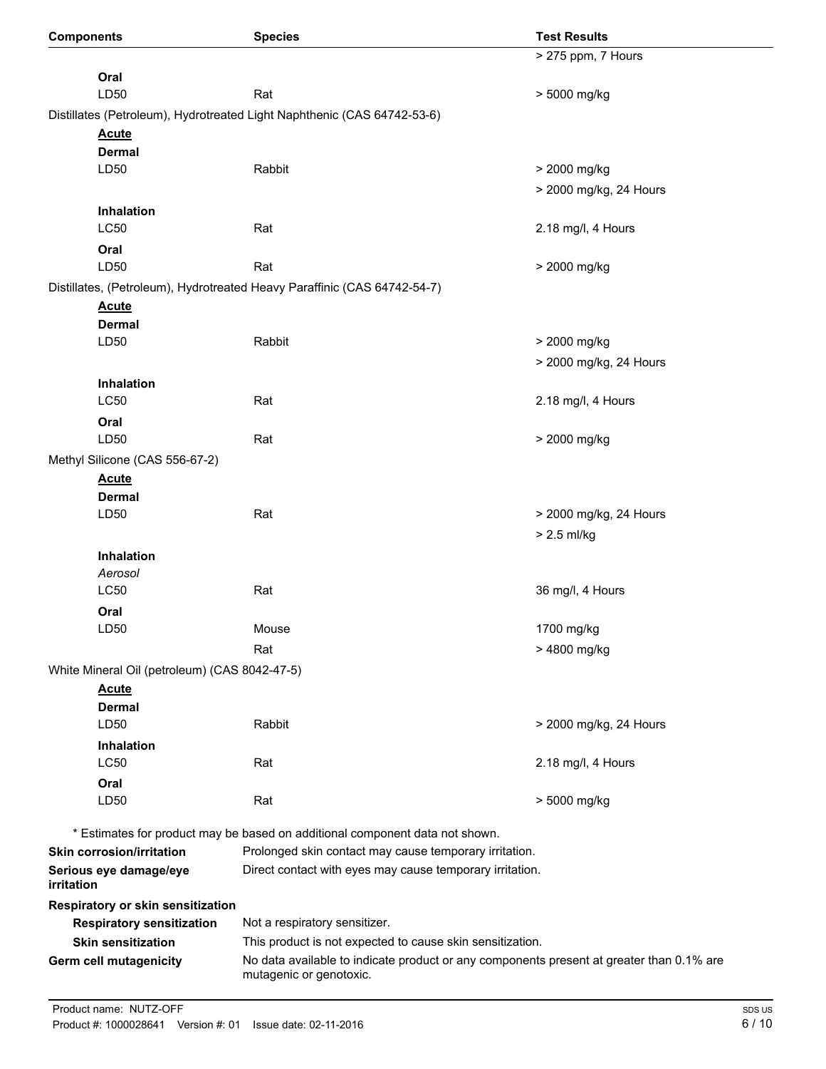| <b>Components</b>                             | <b>Species</b>                                                                                                      | <b>Test Results</b>    |
|-----------------------------------------------|---------------------------------------------------------------------------------------------------------------------|------------------------|
|                                               |                                                                                                                     | > 275 ppm, 7 Hours     |
| Oral                                          |                                                                                                                     |                        |
| LD50                                          | Rat                                                                                                                 | > 5000 mg/kg           |
|                                               | Distillates (Petroleum), Hydrotreated Light Naphthenic (CAS 64742-53-6)                                             |                        |
| <b>Acute</b>                                  |                                                                                                                     |                        |
| <b>Dermal</b>                                 |                                                                                                                     |                        |
| LD50                                          | Rabbit                                                                                                              | > 2000 mg/kg           |
|                                               |                                                                                                                     | > 2000 mg/kg, 24 Hours |
| Inhalation                                    |                                                                                                                     |                        |
| <b>LC50</b>                                   | Rat                                                                                                                 | 2.18 mg/l, 4 Hours     |
| Oral                                          |                                                                                                                     |                        |
| LD50                                          | Rat                                                                                                                 | > 2000 mg/kg           |
|                                               | Distillates, (Petroleum), Hydrotreated Heavy Paraffinic (CAS 64742-54-7)                                            |                        |
| <b>Acute</b>                                  |                                                                                                                     |                        |
| <b>Dermal</b>                                 |                                                                                                                     |                        |
| LD50                                          | Rabbit                                                                                                              | > 2000 mg/kg           |
|                                               |                                                                                                                     | > 2000 mg/kg, 24 Hours |
| Inhalation                                    |                                                                                                                     |                        |
| <b>LC50</b>                                   | Rat                                                                                                                 | 2.18 mg/l, 4 Hours     |
| Oral                                          |                                                                                                                     |                        |
| LD50                                          | Rat                                                                                                                 | > 2000 mg/kg           |
| Methyl Silicone (CAS 556-67-2)                |                                                                                                                     |                        |
| <b>Acute</b>                                  |                                                                                                                     |                        |
| <b>Dermal</b>                                 |                                                                                                                     |                        |
| LD50                                          | Rat                                                                                                                 | > 2000 mg/kg, 24 Hours |
|                                               |                                                                                                                     | > 2.5 ml/kg            |
| <b>Inhalation</b>                             |                                                                                                                     |                        |
| Aerosol                                       |                                                                                                                     |                        |
| LC50                                          | Rat                                                                                                                 | 36 mg/l, 4 Hours       |
| Oral                                          |                                                                                                                     |                        |
| LD50                                          | Mouse                                                                                                               | 1700 mg/kg             |
|                                               | Rat                                                                                                                 | > 4800 mg/kg           |
| White Mineral Oil (petroleum) (CAS 8042-47-5) |                                                                                                                     |                        |
| <b>Acute</b>                                  |                                                                                                                     |                        |
| <b>Dermal</b>                                 |                                                                                                                     |                        |
| LD50                                          | Rabbit                                                                                                              | > 2000 mg/kg, 24 Hours |
| Inhalation                                    |                                                                                                                     |                        |
| LC50                                          | Rat                                                                                                                 | 2.18 mg/l, 4 Hours     |
| Oral<br>LD50                                  | Rat                                                                                                                 | > 5000 mg/kg           |
|                                               |                                                                                                                     |                        |
|                                               | * Estimates for product may be based on additional component data not shown.                                        |                        |
| <b>Skin corrosion/irritation</b>              | Prolonged skin contact may cause temporary irritation.                                                              |                        |
| Serious eye damage/eye<br>irritation          | Direct contact with eyes may cause temporary irritation.                                                            |                        |
| Respiratory or skin sensitization             |                                                                                                                     |                        |
| <b>Respiratory sensitization</b>              | Not a respiratory sensitizer.                                                                                       |                        |
| <b>Skin sensitization</b>                     | This product is not expected to cause skin sensitization.                                                           |                        |
| Germ cell mutagenicity                        | No data available to indicate product or any components present at greater than 0.1% are<br>mutagenic or genotoxic. |                        |
|                                               |                                                                                                                     |                        |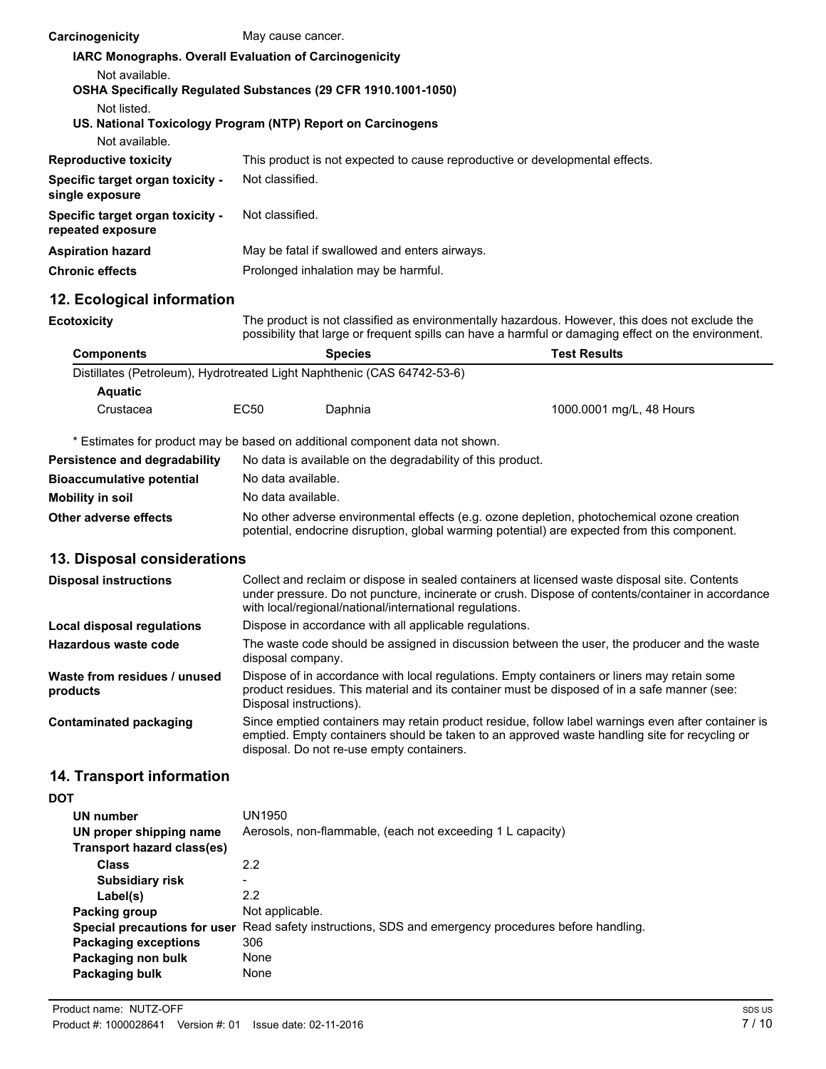| Carcinogenicity                                                              | May cause cancer.                                                                                                                                                                                                                                             |                                                                                                                                                                                                                        |                                                                                                                                                                                                       |
|------------------------------------------------------------------------------|---------------------------------------------------------------------------------------------------------------------------------------------------------------------------------------------------------------------------------------------------------------|------------------------------------------------------------------------------------------------------------------------------------------------------------------------------------------------------------------------|-------------------------------------------------------------------------------------------------------------------------------------------------------------------------------------------------------|
| IARC Monographs. Overall Evaluation of Carcinogenicity                       |                                                                                                                                                                                                                                                               |                                                                                                                                                                                                                        |                                                                                                                                                                                                       |
| Not available.                                                               |                                                                                                                                                                                                                                                               |                                                                                                                                                                                                                        |                                                                                                                                                                                                       |
| OSHA Specifically Regulated Substances (29 CFR 1910.1001-1050)               |                                                                                                                                                                                                                                                               |                                                                                                                                                                                                                        |                                                                                                                                                                                                       |
| Not listed.<br>US. National Toxicology Program (NTP) Report on Carcinogens   |                                                                                                                                                                                                                                                               |                                                                                                                                                                                                                        |                                                                                                                                                                                                       |
| Not available.                                                               |                                                                                                                                                                                                                                                               |                                                                                                                                                                                                                        |                                                                                                                                                                                                       |
| <b>Reproductive toxicity</b>                                                 |                                                                                                                                                                                                                                                               | This product is not expected to cause reproductive or developmental effects.                                                                                                                                           |                                                                                                                                                                                                       |
| Specific target organ toxicity -<br>single exposure                          | Not classified.                                                                                                                                                                                                                                               |                                                                                                                                                                                                                        |                                                                                                                                                                                                       |
| Specific target organ toxicity -<br>repeated exposure                        | Not classified.                                                                                                                                                                                                                                               |                                                                                                                                                                                                                        |                                                                                                                                                                                                       |
| <b>Aspiration hazard</b>                                                     | May be fatal if swallowed and enters airways.                                                                                                                                                                                                                 |                                                                                                                                                                                                                        |                                                                                                                                                                                                       |
| <b>Chronic effects</b>                                                       |                                                                                                                                                                                                                                                               | Prolonged inhalation may be harmful.                                                                                                                                                                                   |                                                                                                                                                                                                       |
| 12. Ecological information                                                   |                                                                                                                                                                                                                                                               |                                                                                                                                                                                                                        |                                                                                                                                                                                                       |
| <b>Ecotoxicity</b>                                                           |                                                                                                                                                                                                                                                               |                                                                                                                                                                                                                        | The product is not classified as environmentally hazardous. However, this does not exclude the<br>possibility that large or frequent spills can have a harmful or damaging effect on the environment. |
| <b>Components</b>                                                            |                                                                                                                                                                                                                                                               | <b>Species</b>                                                                                                                                                                                                         | <b>Test Results</b>                                                                                                                                                                                   |
| Distillates (Petroleum), Hydrotreated Light Naphthenic (CAS 64742-53-6)      |                                                                                                                                                                                                                                                               |                                                                                                                                                                                                                        |                                                                                                                                                                                                       |
| <b>Aquatic</b>                                                               |                                                                                                                                                                                                                                                               |                                                                                                                                                                                                                        |                                                                                                                                                                                                       |
| Crustacea                                                                    | <b>EC50</b>                                                                                                                                                                                                                                                   | Daphnia                                                                                                                                                                                                                | 1000.0001 mg/L, 48 Hours                                                                                                                                                                              |
| * Estimates for product may be based on additional component data not shown. |                                                                                                                                                                                                                                                               |                                                                                                                                                                                                                        |                                                                                                                                                                                                       |
| Persistence and degradability                                                |                                                                                                                                                                                                                                                               | No data is available on the degradability of this product.                                                                                                                                                             |                                                                                                                                                                                                       |
| <b>Bioaccumulative potential</b>                                             | No data available.                                                                                                                                                                                                                                            |                                                                                                                                                                                                                        |                                                                                                                                                                                                       |
| <b>Mobility in soil</b>                                                      | No data available.                                                                                                                                                                                                                                            |                                                                                                                                                                                                                        |                                                                                                                                                                                                       |
| Other adverse effects                                                        | No other adverse environmental effects (e.g. ozone depletion, photochemical ozone creation<br>potential, endocrine disruption, global warming potential) are expected from this component.                                                                    |                                                                                                                                                                                                                        |                                                                                                                                                                                                       |
| 13. Disposal considerations                                                  |                                                                                                                                                                                                                                                               |                                                                                                                                                                                                                        |                                                                                                                                                                                                       |
| <b>Disposal instructions</b>                                                 | Collect and reclaim or dispose in sealed containers at licensed waste disposal site. Contents<br>under pressure. Do not puncture, incinerate or crush. Dispose of contents/container in accordance<br>with local/regional/national/international regulations. |                                                                                                                                                                                                                        |                                                                                                                                                                                                       |
| <b>Local disposal regulations</b>                                            | Dispose in accordance with all applicable regulations.                                                                                                                                                                                                        |                                                                                                                                                                                                                        |                                                                                                                                                                                                       |
| Hazardous waste code                                                         | The waste code should be assigned in discussion between the user, the producer and the waste<br>disposal company.                                                                                                                                             |                                                                                                                                                                                                                        |                                                                                                                                                                                                       |
| Waste from residues / unused<br>products                                     |                                                                                                                                                                                                                                                               | Dispose of in accordance with local regulations. Empty containers or liners may retain some<br>product residues. This material and its container must be disposed of in a safe manner (see:<br>Disposal instructions). |                                                                                                                                                                                                       |
| <b>Contaminated packaging</b>                                                |                                                                                                                                                                                                                                                               | disposal. Do not re-use empty containers.                                                                                                                                                                              | Since emptied containers may retain product residue, follow label warnings even after container is<br>emptied. Empty containers should be taken to an approved waste handling site for recycling or   |

# **14. Transport information**

**DOT**

| UN number<br>UN proper shipping name | UN1950<br>Aerosols, non-flammable, (each not exceeding 1 L capacity)    |
|--------------------------------------|-------------------------------------------------------------------------|
| Transport hazard class(es)           |                                                                         |
| <b>Class</b>                         | 2.2                                                                     |
| <b>Subsidiary risk</b>               | -                                                                       |
| Label(s)                             | 2.2                                                                     |
| Packing group                        | Not applicable.                                                         |
| Special precautions for user         | Read safety instructions, SDS and emergency procedures before handling. |
| <b>Packaging exceptions</b>          | 306                                                                     |
| Packaging non bulk                   | None                                                                    |
| Packaging bulk                       | None                                                                    |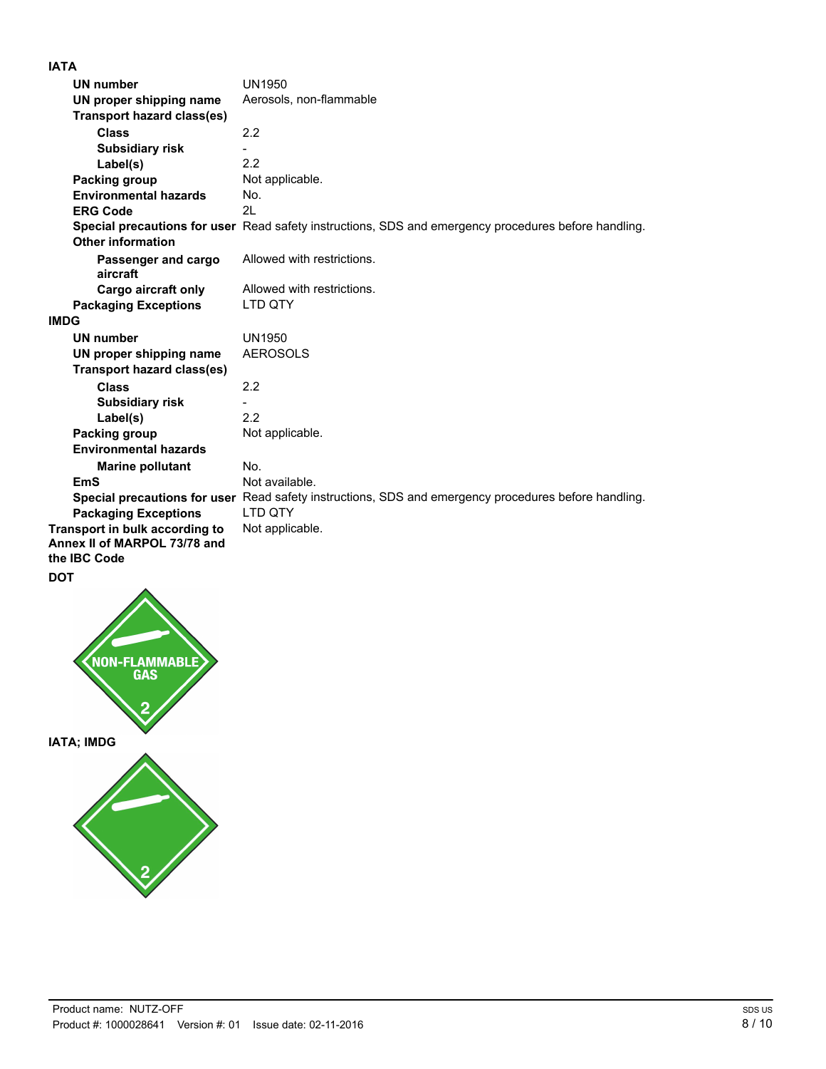# **IATA**

| UN number                         | UN1950                                                                                               |
|-----------------------------------|------------------------------------------------------------------------------------------------------|
| UN proper shipping name           | Aerosols, non-flammable                                                                              |
| <b>Transport hazard class(es)</b> |                                                                                                      |
| <b>Class</b>                      | 2.2                                                                                                  |
| <b>Subsidiary risk</b>            |                                                                                                      |
| Label(s)                          | 2.2                                                                                                  |
| Packing group                     | Not applicable.                                                                                      |
| <b>Environmental hazards</b>      | No.                                                                                                  |
| <b>ERG Code</b>                   | 2L                                                                                                   |
|                                   | Special precautions for user Read safety instructions, SDS and emergency procedures before handling. |
| <b>Other information</b>          |                                                                                                      |
| Passenger and cargo               | Allowed with restrictions.                                                                           |
| aircraft                          |                                                                                                      |
| Cargo aircraft only               | Allowed with restrictions.                                                                           |
| <b>Packaging Exceptions</b>       | LTD QTY                                                                                              |
| <b>IMDG</b>                       |                                                                                                      |
| <b>UN number</b>                  | <b>UN1950</b>                                                                                        |
| UN proper shipping name           | <b>AEROSOLS</b>                                                                                      |
| <b>Transport hazard class(es)</b> |                                                                                                      |
| <b>Class</b>                      | 2.2                                                                                                  |
| <b>Subsidiary risk</b>            |                                                                                                      |
| Label(s)                          | 2.2                                                                                                  |
| Packing group                     | Not applicable.                                                                                      |
| <b>Environmental hazards</b>      |                                                                                                      |
| <b>Marine pollutant</b>           | No.                                                                                                  |
| EmS                               | Not available.                                                                                       |
|                                   | Special precautions for user Read safety instructions, SDS and emergency procedures before handling. |
| <b>Packaging Exceptions</b>       | LTD QTY                                                                                              |
| Transport in bulk according to    | Not applicable.                                                                                      |
| Annex II of MARPOL 73/78 and      |                                                                                                      |
| the <b>IBC</b> Code               |                                                                                                      |
| $\sim$                            |                                                                                                      |

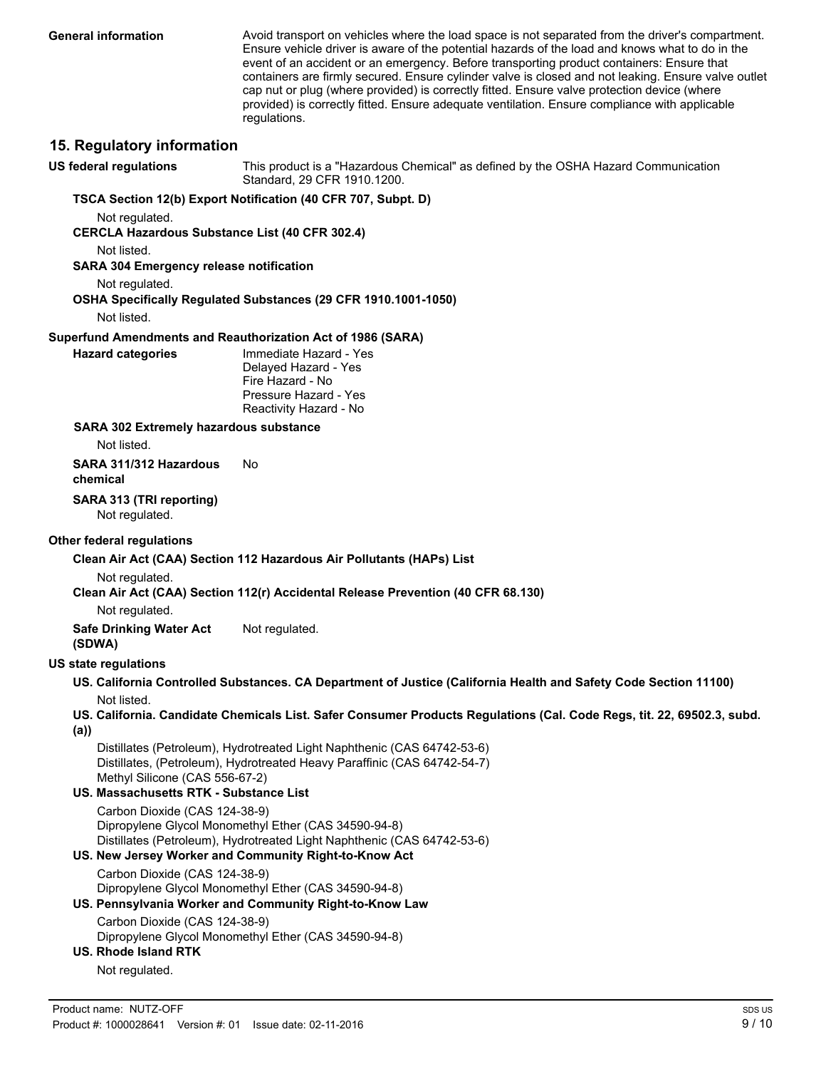**General information**

Avoid transport on vehicles where the load space is not separated from the driver's compartment. Ensure vehicle driver is aware of the potential hazards of the load and knows what to do in the event of an accident or an emergency. Before transporting product containers: Ensure that containers are firmly secured. Ensure cylinder valve is closed and not leaking. Ensure valve outlet cap nut or plug (where provided) is correctly fitted. Ensure valve protection device (where provided) is correctly fitted. Ensure adequate ventilation. Ensure compliance with applicable regulations.

### **15. Regulatory information**

**US federal regulations**

This product is a "Hazardous Chemical" as defined by the OSHA Hazard Communication Standard, 29 CFR 1910.1200.

#### **TSCA Section 12(b) Export Notification (40 CFR 707, Subpt. D)**

Not regulated.

**CERCLA Hazardous Substance List (40 CFR 302.4)**

Not listed.

**SARA 304 Emergency release notification**

Not regulated.

#### **OSHA Specifically Regulated Substances (29 CFR 1910.1001-1050)**

Not listed.

#### **Superfund Amendments and Reauthorization Act of 1986 (SARA)**

| Hazard categories |
|-------------------|
|-------------------|

Immediate Hazard - Yes Delayed Hazard - Yes Fire Hazard - No Pressure Hazard - Yes Reactivity Hazard - No

**SARA 302 Extremely hazardous substance**

Not listed.

**SARA 311/312 Hazardous** No **chemical**

**SARA 313 (TRI reporting)** Not regulated.

#### **Other federal regulations**

#### **Clean Air Act (CAA) Section 112 Hazardous Air Pollutants (HAPs) List**

Not regulated.

#### **Clean Air Act (CAA) Section 112(r) Accidental Release Prevention (40 CFR 68.130)**

Not regulated.

**Safe Drinking Water Act** Not regulated.

# **(SDWA)**

### **US state regulations**

**US. California Controlled Substances. CA Department of Justice (California Health and Safety Code Section 11100)** Not listed.

**US. California. Candidate Chemicals List. Safer Consumer Products Regulations (Cal. Code Regs, tit. 22, 69502.3, subd. (a))**

Distillates (Petroleum), Hydrotreated Light Naphthenic (CAS 64742-53-6) Distillates, (Petroleum), Hydrotreated Heavy Paraffinic (CAS 64742-54-7) Methyl Silicone (CAS 556-67-2)

**US. Massachusetts RTK - Substance List** Carbon Dioxide (CAS 124-38-9)

Dipropylene Glycol Monomethyl Ether (CAS 34590-94-8) Distillates (Petroleum), Hydrotreated Light Naphthenic (CAS 64742-53-6)

## **US. New Jersey Worker and Community Right-to-Know Act**

Carbon Dioxide (CAS 124-38-9)

# Dipropylene Glycol Monomethyl Ether (CAS 34590-94-8)

# **US. Pennsylvania Worker and Community Right-to-Know Law**

Carbon Dioxide (CAS 124-38-9)

Dipropylene Glycol Monomethyl Ether (CAS 34590-94-8)

## **US. Rhode Island RTK**

Not regulated.